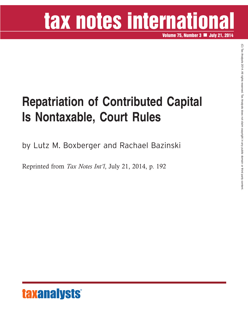## tax notes international

**Volume 75, Number 3 July 21, 2014**

## **Repatriation of Contributed Capital Is Nontaxable, Court Rules**

by Lutz M. Boxberger and Rachael Bazinski

Reprinted from *Tax Notes Int'l*, July 21, 2014, p. 192

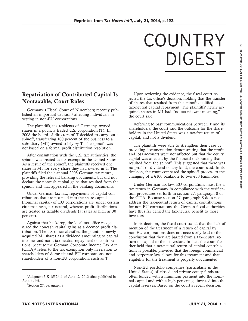## COUNTRY DIGEST

## **Repatriation of Contributed Capital Is Nontaxable, Court Rules**

Germany's Fiscal Court of Nuremberg recently published an important decision<sup>1</sup> affecting individuals investing in non-EU corporations.

The plaintiffs, tax residents of Germany, owned shares in a publicly traded U.S. corporation (T). In 2008 the board of directors of T decided to carry out a spinoff, transferring 100 percent of the business to a subsidiary (M1) owned solely by T. The spinoff was not based on a formal profit distribution resolution.

After consultation with the U.S. tax authorities, the spinoff was treated as tax exempt in the United States. As a result of the spinoff, the plaintiffs received one share in M1 for every share they had owned in T. The plaintiffs filed their annual 2008 German tax return, providing the relevant banking documents, but did not declare the noncash capital gains that resulted from the spinoff and that appeared in the banking documents.

Under German tax law, repayments of capital contributions that are not paid into the share capital (nominal capital) of EU corporations are, under certain circumstances, tax neutral, whereas profit distributions are treated as taxable dividends (at rates as high as 30 percent).

Against that backdrop, the local tax office recognized the noncash capital gains as a deemed profit distribution. The tax office classified the plaintiffs' newly acquired M1 shares as a dividend amounting to capital income, and not a tax-neutral repayment of contributions, because the German Corporate Income Tax Act (CITA)2 refers to the tax exemption only in relation to shareholders of domestic and EU corporations, not shareholders of a non-EU corporation, such as T.

Upon reviewing the evidence, the fiscal court rejected the tax office's decision, holding that the transfer of shares that resulted from the spinoff qualified as a tax-neutral capital repayment. The plaintiffs' newly acquired shares in M1 had ''no tax-relevant meaning,'' the court said.

Referring to past communications between T and its shareholders, the court said the outcome for the shareholders in the United States was a tax-free return of capital, and not a dividend.

The plaintiffs were able to strengthen their case by providing documentation demonstrating that the profit and loss accounts were not affected but that the equity capital was affected by the financial outsourcing that resulted from the spinoff. This suggested that there was no profit or dividend of any kind, the court said. In its decision, the court compared the spinoff process to the changing of a  $\epsilon$ 100 banknote to two  $\epsilon$ 50 banknotes.

Under German tax law, EU corporations must file a tax return in Germany in compliance with the verification procedures set forth in section 27, paragraph 8 of the CITA. Because section 27, paragraph 8 does not address the tax-neutral return of capital contributions for non-EU corporations, the German fiscal authorities have thus far denied the tax-neutral benefit to those investors.

In its decision, the fiscal court stated that the lack of mention of the treatment of a return of capital by non-EU corporations does not necessarily lead to the conclusion that they are barred from a tax-neutral return of capital to their investors. In fact, the court further held that a tax-neutral return of capital contributions is possible, provided that the foreign commercial and corporate law allows for this treatment and that eligibility for the treatment is properly documented.

Non-EU portfolio companies (particularly in the United States) of closed-end private equity funds are often funded with a minimum payment into the nominal capital and with a high percentage invested into the capital reserves. Based on the court's recent decision,

 $\widehat{\Omega}$  TaxAnalysts

2014.

All rights

reserved.

<sup>&</sup>lt;sup>1</sup>Judgment 5 K 1552/11 of June 12, 2013 (first published in April 2014).

<sup>&</sup>lt;sup>2</sup>Section 27, paragraph 8.